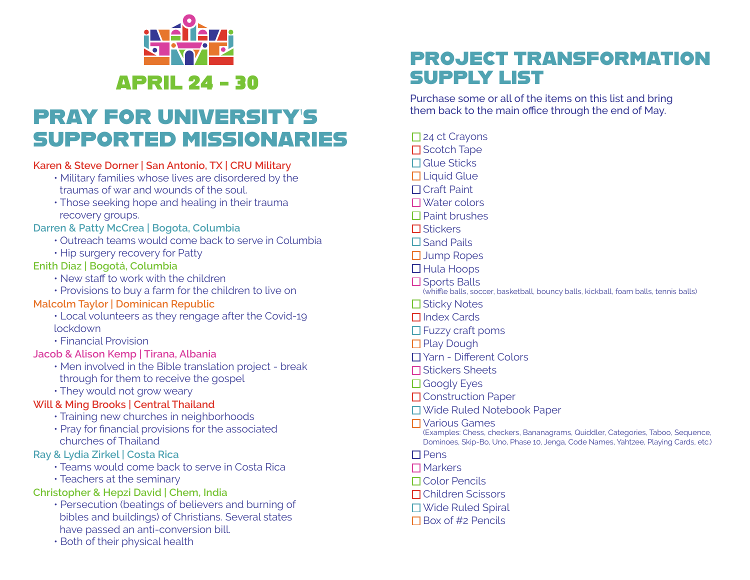

## PRAY FOR UNIVERSITY'S SUPPORTED MISSIONARIES

### **Karen & Steve Dorner | San Antonio, TX | CRU Military**

- Military families whose lives are disordered by the traumas of war and wounds of the soul.
- Those seeking hope and healing in their trauma recovery groups.

#### **Darren & Patty McCrea | Bogota, Columbia**

- Outreach teams would come back to serve in Columbia
- Hip surgery recovery for Patty

#### **Enith Diaz | Bogotá, Columbia**

- New staff to work with the children
- Provisions to buy a farm for the children to live on

### **Malcolm Taylor | Dominican Republic**

- Local volunteers as they rengage after the Covid-19 lockdown
- Financial Provision

#### **Jacob & Alison Kemp | Tirana, Albania**

- Men involved in the Bible translation project break through for them to receive the gospel
- They would not grow weary

### **Will & Ming Brooks | Central Thailand**

- Training new churches in neighborhoods
- Pray for financial provisions for the associated churches of Thailand

#### **Ray & Lydia Zirkel | Costa Rica**

- Teams would come back to serve in Costa Rica
- Teachers at the seminary

### **Christopher & Hepzi David | Chem, India**

- Persecution (beatings of believers and burning of bibles and buildings) of Christians. Several states have passed an anti-conversion bill.
- Both of their physical health

### PROJECT TRANSFORMATION SUPPLY LIST

Purchase some or all of the items on this list and bring them back to the main office through the end of May.

□ 24 ct Crayons  $\square$  Scotch Tape

- $\Box$  Glue Sticks
- $\Box$  Liquid Glue
- Craft Paint
- Water colors
- $\Box$  Paint brushes
- □ Stickers
- $\square$  Sand Pails
- □ Jump Ropes
- $\Box$  Hula Hoops
- $\square$  Sports Balls
- (whiffle balls, soccer, basketball, bouncy balls, kickball, foam balls, tennis balls)
- $\square$  Sticky Notes
- □ Index Cards
- $\Box$  Fuzzy craft poms
- □ Play Dough
- Yarn Different Colors
- Stickers Sheets
- □ Googly Eyes
- □ Construction Paper
- Wide Ruled Notebook Paper
- Various Games
- (Examples: Chess, checkers, Bananagrams, Quiddler, Categories, Taboo, Sequence, Dominoes, Skip-Bo, Uno, Phase 10, Jenga, Code Names, Yahtzee, Playing Cards, etc.)
- $\Box$  Pens
- $\Box$  Markers
- Color Pencils
- Children Scissors
- □ Wide Ruled Spiral
- $\Box$  Box of #2 Pencils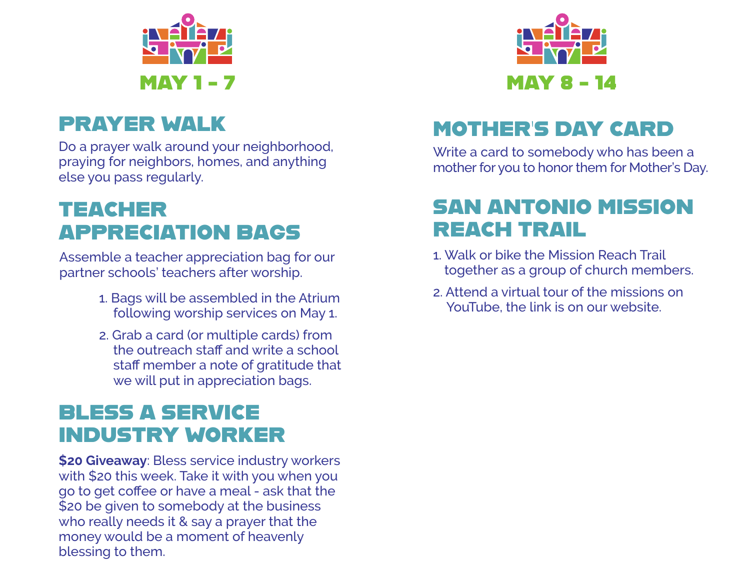

## PRAYER WALK

Do a prayer walk around your neighborhood, praying for neighbors, homes, and anything else you pass regularly.

## TEACHER APPRECIATION BAGS

Assemble a teacher appreciation bag for our partner schools' teachers after worship.

- 1. Bags will be assembled in the Atrium following worship services on May 1.
- 2. Grab a card (or multiple cards) from the outreach staff and write a school staff member a note of gratitude that we will put in appreciation bags.

### BLESS A SERVICE INDUSTRY WORKER

**\$20 Giveaway**: Bless service industry workers with \$20 this week. Take it with you when you go to get coffee or have a meal - ask that the \$20 be given to somebody at the business who really needs it & say a prayer that the money would be a moment of heavenly blessing to them.



# MOTHER'S DAY CARD

Write a card to somebody who has been a mother for you to honor them for Mother's Day.

## SAN ANTONIO MISSION REACH TRAIL

- 1. Walk or bike the Mission Reach Trail together as a group of church members.
- 2. Attend a virtual tour of the missions on YouTube, the link is on our website.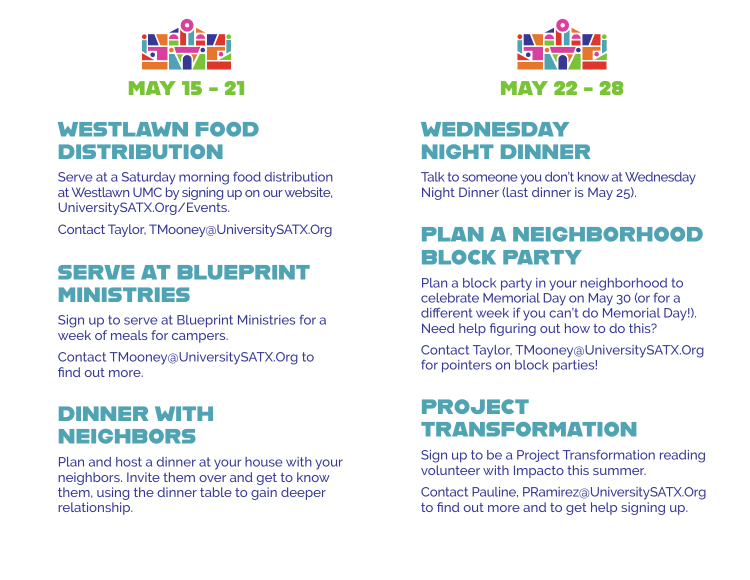

### WESTLAWN FOOD DISTRIBUTION

Serve at a Saturday morning food distribution at Westlawn UMC by signing up on our website, UniversitySATX.Org/Events.

Contact Taylor, TMooney@UniversitySATX.Org

## SERVE AT BLUEPRINT MINISTRIES

Sign up to serve at Blueprint Ministries for a week of meals for campers.

Contact TMooney@UniversitySATX.Org to find out more.

### DINNER WITH NEIGHBORS

Plan and host a dinner at your house with your neighbors. Invite them over and get to know them, using the dinner table to gain deeper relationship.



## WEDNESDAY NIGHT DINNER

Talk to someone you don't know at Wednesday Night Dinner (last dinner is May 25).

## PLAN A NEIGHBORHOOD BLOCK PARTY

Plan a block party in your neighborhood to celebrate Memorial Day on May 30 (or for a different week if you can't do Memorial Day!). Need help figuring out how to do this?

Contact Taylor, TMooney@UniversitySATX.Org for pointers on block parties!

## PROJECT TRANSFORMATION

Sign up to be a Project Transformation reading volunteer with Impacto this summer.

Contact Pauline, PRamirez@UniversitySATX.Org to find out more and to get help signing up.